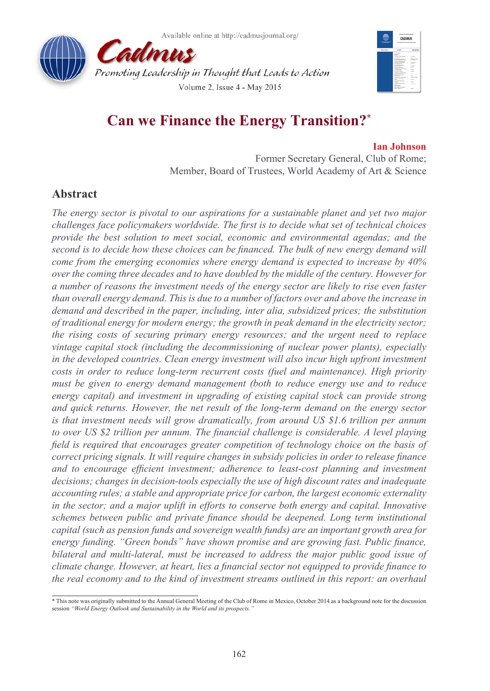





# **Can we Finance the Energy Transition?\***

#### **Ian Johnson**

Former Secretary General, Club of Rome; Member, Board of Trustees, World Academy of Art & Science

# **Abstract**

*The energy sector is pivotal to our aspirations for a sustainable planet and yet two major challenges face policymakers worldwide. The first is to decide what set of technical choices provide the best solution to meet social, economic and environmental agendas; and the second is to decide how these choices can be financed. The bulk of new energy demand will come from the emerging economies where energy demand is expected to increase by 40% over the coming three decades and to have doubled by the middle of the century. However for a number of reasons the investment needs of the energy sector are likely to rise even faster than overall energy demand. This is due to a number of factors over and above the increase in demand and described in the paper, including, inter alia, subsidized prices; the substitution of traditional energy for modern energy; the growth in peak demand in the electricity sector; the rising costs of securing primary energy resources; and the urgent need to replace vintage capital stock (including the decommissioning of nuclear power plants), especially in the developed countries. Clean energy investment will also incur high upfront investment costs in order to reduce long-term recurrent costs (fuel and maintenance). High priority must be given to energy demand management (both to reduce energy use and to reduce energy capital) and investment in upgrading of existing capital stock can provide strong and quick returns. However, the net result of the long-term demand on the energy sector is that investment needs will grow dramatically, from around US \$1.6 trillion per annum to over US \$2 trillion per annum. The financial challenge is considerable. A level playing field is required that encourages greater competition of technology choice on the basis of correct pricing signals. It will require changes in subsidy policies in order to release finance and to encourage efficient investment; adherence to least-cost planning and investment decisions; changes in decision-tools especially the use of high discount rates and inadequate accounting rules; a stable and appropriate price for carbon, the largest economic externality in the sector; and a major uplift in efforts to conserve both energy and capital. Innovative schemes between public and private finance should be deepened. Long term institutional capital (such as pension funds and sovereign wealth funds) are an important growth area for energy funding. "Green bonds" have shown promise and are growing fast. Public finance, bilateral and multi-lateral, must be increased to address the major public good issue of climate change. However, at heart, lies a financial sector not equipped to provide finance to the real economy and to the kind of investment streams outlined in this report: an overhaul* 

<sup>\*</sup> This note was originally submitted to the Annual General Meeting of the Club of Rome in Mexico, October 2014 as a background note for the discussion session *"World Energy Outlook and Sustainability in the World and its prospects."*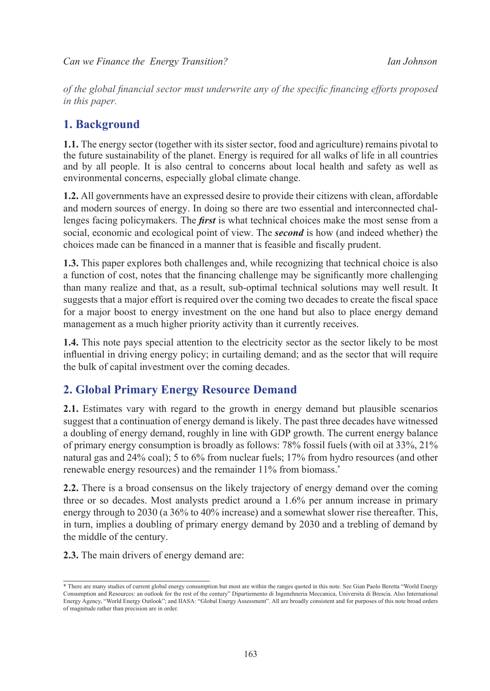*of the global financial sector must underwrite any of the specific financing efforts proposed in this paper.*

# **1. Background**

**1.1.** The energy sector (together with its sister sector, food and agriculture) remains pivotal to the future sustainability of the planet. Energy is required for all walks of life in all countries and by all people. It is also central to concerns about local health and safety as well as environmental concerns, especially global climate change.

**1.2.** All governments have an expressed desire to provide their citizens with clean, affordable and modern sources of energy. In doing so there are two essential and interconnected challenges facing policymakers. The *first* is what technical choices make the most sense from a social, economic and ecological point of view. The *second* is how (and indeed whether) the choices made can be financed in a manner that is feasible and fiscally prudent.

**1.3.** This paper explores both challenges and, while recognizing that technical choice is also a function of cost, notes that the financing challenge may be significantly more challenging than many realize and that, as a result, sub-optimal technical solutions may well result. It suggests that a major effort is required over the coming two decades to create the fiscal space for a major boost to energy investment on the one hand but also to place energy demand management as a much higher priority activity than it currently receives.

**1.4.** This note pays special attention to the electricity sector as the sector likely to be most influential in driving energy policy; in curtailing demand; and as the sector that will require the bulk of capital investment over the coming decades.

# **2. Global Primary Energy Resource Demand**

**2.1.** Estimates vary with regard to the growth in energy demand but plausible scenarios suggest that a continuation of energy demand is likely. The past three decades have witnessed a doubling of energy demand, roughly in line with GDP growth. The current energy balance of primary energy consumption is broadly as follows: 78% fossil fuels (with oil at 33%, 21% natural gas and 24% coal); 5 to 6% from nuclear fuels; 17% from hydro resources (and other renewable energy resources) and the remainder 11% from biomass.<sup>\*</sup>

**2.2.** There is a broad consensus on the likely trajectory of energy demand over the coming three or so decades. Most analysts predict around a 1.6% per annum increase in primary energy through to 2030 (a 36% to 40% increase) and a somewhat slower rise thereafter. This, in turn, implies a doubling of primary energy demand by 2030 and a trebling of demand by the middle of the century.

**2.3.** The main drivers of energy demand are:

<sup>\*</sup> There are many studies of current global energy consumption but most are within the ranges quoted in this note. See Gian Paolo Beretta "World Energy Consumption and Resources: an outlook for the rest of the century" Dipartiemento di Ingenehneria Meccanica, Universita di Brescia. Also International Energy Agency, "World Energy Outlook"; and IIASA: "Global Energy Assessment". All are broadly consistent and for purposes of this note broad orders of magnitude rather than precision are in order.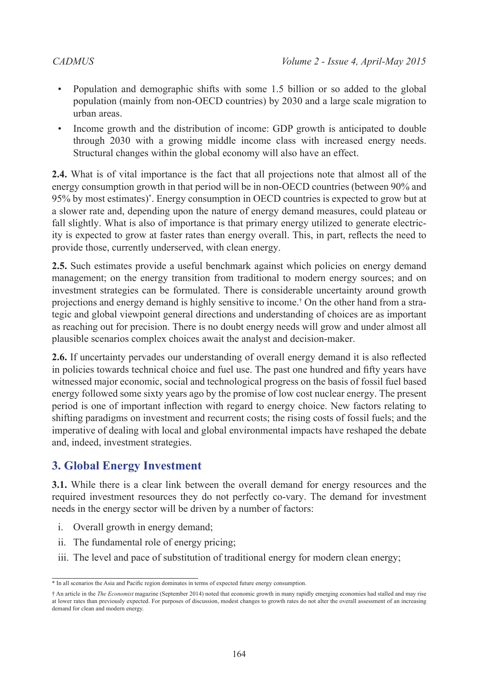- Population and demographic shifts with some 1.5 billion or so added to the global population (mainly from non-OECD countries) by 2030 and a large scale migration to urban areas.
- Income growth and the distribution of income: GDP growth is anticipated to double through 2030 with a growing middle income class with increased energy needs. Structural changes within the global economy will also have an effect.

**2.4.** What is of vital importance is the fact that all projections note that almost all of the energy consumption growth in that period will be in non-OECD countries (between 90% and 95% by most estimates)\* . Energy consumption in OECD countries is expected to grow but at a slower rate and, depending upon the nature of energy demand measures, could plateau or fall slightly. What is also of importance is that primary energy utilized to generate electricity is expected to grow at faster rates than energy overall. This, in part, reflects the need to provide those, currently underserved, with clean energy.

**2.5.** Such estimates provide a useful benchmark against which policies on energy demand management; on the energy transition from traditional to modern energy sources; and on investment strategies can be formulated. There is considerable uncertainty around growth projections and energy demand is highly sensitive to income.† On the other hand from a strategic and global viewpoint general directions and understanding of choices are as important as reaching out for precision. There is no doubt energy needs will grow and under almost all plausible scenarios complex choices await the analyst and decision-maker.

**2.6.** If uncertainty pervades our understanding of overall energy demand it is also reflected in policies towards technical choice and fuel use. The past one hundred and fifty years have witnessed major economic, social and technological progress on the basis of fossil fuel based energy followed some sixty years ago by the promise of low cost nuclear energy. The present period is one of important inflection with regard to energy choice. New factors relating to shifting paradigms on investment and recurrent costs; the rising costs of fossil fuels; and the imperative of dealing with local and global environmental impacts have reshaped the debate and, indeed, investment strategies.

# **3. Global Energy Investment**

**3.1.** While there is a clear link between the overall demand for energy resources and the required investment resources they do not perfectly co-vary. The demand for investment needs in the energy sector will be driven by a number of factors:

- i. Overall growth in energy demand;
- ii. The fundamental role of energy pricing;
- iii. The level and pace of substitution of traditional energy for modern clean energy;

<sup>\*</sup> In all scenarios the Asia and Pacific region dominates in terms of expected future energy consumption.

<sup>†</sup> An article in the *The Economist* magazine (September 2014) noted that economic growth in many rapidly emerging economies had stalled and may rise at lower rates than previously expected. For purposes of discussion, modest changes to growth rates do not alter the overall assessment of an increasing demand for clean and modern energy.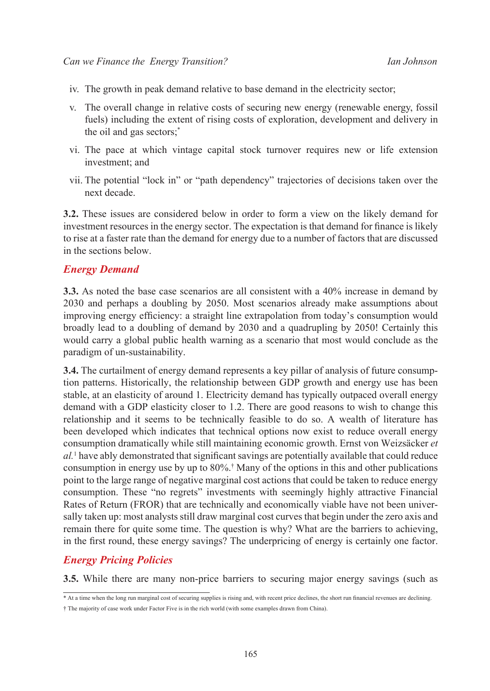- iv. The growth in peak demand relative to base demand in the electricity sector;
- v. The overall change in relative costs of securing new energy (renewable energy, fossil fuels) including the extent of rising costs of exploration, development and delivery in the oil and gas sectors;\*
- vi. The pace at which vintage capital stock turnover requires new or life extension investment; and
- vii. The potential "lock in" or "path dependency" trajectories of decisions taken over the next decade.

**3.2.** These issues are considered below in order to form a view on the likely demand for investment resources in the energy sector. The expectation is that demand for finance is likely to rise at a faster rate than the demand for energy due to a number of factors that are discussed in the sections below.

### *Energy Demand*

**3.3.** As noted the base case scenarios are all consistent with a 40% increase in demand by 2030 and perhaps a doubling by 2050. Most scenarios already make assumptions about improving energy efficiency: a straight line extrapolation from today's consumption would broadly lead to a doubling of demand by 2030 and a quadrupling by 2050! Certainly this would carry a global public health warning as a scenario that most would conclude as the paradigm of un-sustainability.

**3.4.** The curtailment of energy demand represents a key pillar of analysis of future consumption patterns. Historically, the relationship between GDP growth and energy use has been stable, at an elasticity of around 1. Electricity demand has typically outpaced overall energy demand with a GDP elasticity closer to 1.2. There are good reasons to wish to change this relationship and it seems to be technically feasible to do so. A wealth of literature has been developed which indicates that technical options now exist to reduce overall energy consumption dramatically while still maintaining economic growth. Ernst von Weizsäcker *et al.*[1](#page-21-0) have ably demonstrated that significant savings are potentially available that could reduce consumption in energy use by up to 80%.† Many of the options in this and other publications point to the large range of negative marginal cost actions that could be taken to reduce energy consumption. These "no regrets" investments with seemingly highly attractive Financial Rates of Return (FROR) that are technically and economically viable have not been universally taken up: most analysts still draw marginal cost curves that begin under the zero axis and remain there for quite some time. The question is why? What are the barriers to achieving, in the first round, these energy savings? The underpricing of energy is certainly one factor.

### *Energy Pricing Policies*

**3.5.** While there are many non-price barriers to securing major energy savings (such as

<sup>\*</sup> At a time when the long run marginal cost of securing supplies is rising and, with recent price declines, the short run financial revenues are declining.

<sup>†</sup> The majority of case work under Factor Five is in the rich world (with some examples drawn from China).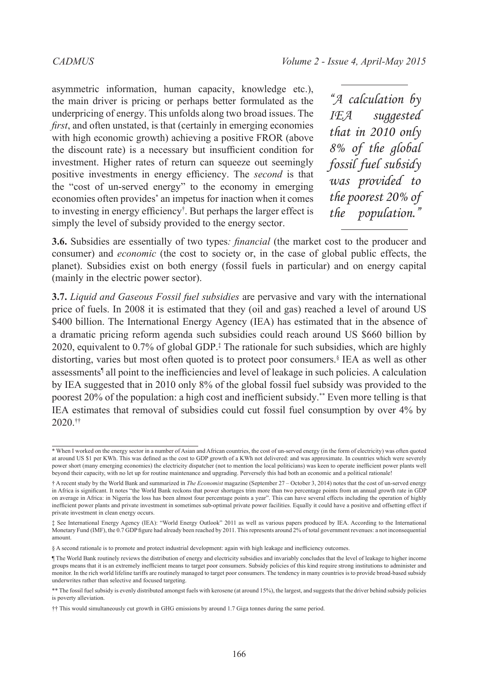asymmetric information, human capacity, knowledge etc.), the main driver is pricing or perhaps better formulated as the underpricing of energy. This unfolds along two broad issues. The *first*, and often unstated, is that (certainly in emerging economies with high economic growth) achieving a positive FROR (above the discount rate) is a necessary but insufficient condition for investment. Higher rates of return can squeeze out seemingly positive investments in energy efficiency. The *second* is that the "cost of un-served energy" to the economy in emerging economies often provides\* an impetus for inaction when it comes to investing in energy efficiency† . But perhaps the larger effect is simply the level of subsidy provided to the energy sector.

*"A calculation by IEA suggested that in 2010 only 8% of the global fossil fuel subsidy was provided to the poorest 20% of the population."*

**3.6.** Subsidies are essentially of two types*: financial* (the market cost to the producer and consumer) and *economic* (the cost to society or, in the case of global public effects, the planet). Subsidies exist on both energy (fossil fuels in particular) and on energy capital (mainly in the electric power sector).

**3.7.** *Liquid and Gaseous Fossil fuel subsidies* are pervasive and vary with the international price of fuels. In 2008 it is estimated that they (oil and gas) reached a level of around US \$400 billion. The International Energy Agency (IEA) has estimated that in the absence of a dramatic pricing reform agenda such subsidies could reach around US \$660 billion by 2020, equivalent to 0.7% of global GDP.‡ The rationale for such subsidies, which are highly distorting, varies but most often quoted is to protect poor consumers.§ IEA as well as other assessments¶ all point to the inefficiencies and level of leakage in such policies. A calculation by IEA suggested that in 2010 only 8% of the global fossil fuel subsidy was provided to the poorest 20% of the population: a high cost and inefficient subsidy.\*\* Even more telling is that IEA estimates that removal of subsidies could cut fossil fuel consumption by over 4% by 2020.††

<sup>\*</sup> When I worked on the energy sector in a number of Asian and African countries, the cost of un-served energy (in the form of electricity) was often quoted at around US \$1 per KWh. This was defined as the cost to GDP growth of a KWh not delivered: and was approximate. In countries which were severely power short (many emerging economies) the electricity dispatcher (not to mention the local politicians) was keen to operate inefficient power plants well beyond their capacity, with no let up for routine maintenance and upgrading. Perversely this had both an economic and a political rationale!

<sup>†</sup> A recent study by the World Bank and summarized in *The Economist* magazine (September 27 – October 3, 2014) notes that the cost of un-served energy in Africa is significant. It notes "the World Bank reckons that power shortages trim more than two percentage points from an annual growth rate in GDP on average in Africa: in Nigeria the loss has been almost four percentage points a year". This can have several effects including the operation of highly inefficient power plants and private investment in sometimes sub-optimal private power facilities. Equally it could have a positive and offsetting effect if private investment in clean energy occurs.

<sup>‡</sup> See International Energy Agency (IEA): "World Energy Outlook" 2011 as well as various papers produced by IEA. According to the International Monetary Fund (IMF), the 0.7 GDP figure had already been reached by 2011. This represents around 2% of total government revenues: a not inconsequential amount.

<sup>§</sup> A second rationale is to promote and protect industrial development: again with high leakage and inefficiency outcomes.

<sup>¶</sup> The World Bank routinely reviews the distribution of energy and electricity subsidies and invariably concludes that the level of leakage to higher income groups means that it is an extremely inefficient means to target poor consumers. Subsidy policies of this kind require strong institutions to administer and monitor. In the rich world lifeline tariffs are routinely managed to target poor consumers. The tendency in many countries is to provide broad-based subsidy underwrites rather than selective and focused targeting.

<sup>\*\*</sup> The fossil fuel subsidy is evenly distributed amongst fuels with kerosene (at around 15%), the largest, and suggests that the driver behind subsidy policies is poverty alleviation.

<sup>††</sup> This would simultaneously cut growth in GHG emissions by around 1.7 Giga tonnes during the same period.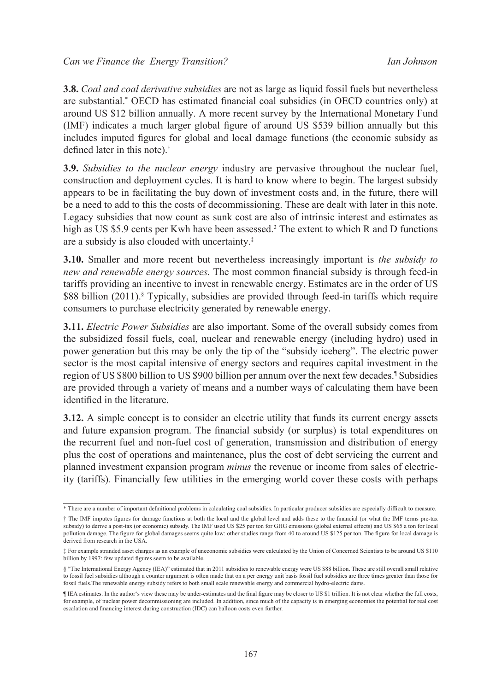**3.8.** *Coal and coal derivative subsidies* are not as large as liquid fossil fuels but nevertheless are substantial.\* OECD has estimated financial coal subsidies (in OECD countries only) at around US \$12 billion annually. A more recent survey by the International Monetary Fund (IMF) indicates a much larger global figure of around US \$539 billion annually but this includes imputed figures for global and local damage functions (the economic subsidy as defined later in this note).†

**3.9.** *Subsidies to the nuclear energy* industry are pervasive throughout the nuclear fuel, construction and deployment cycles. It is hard to know where to begin. The largest subsidy appears to be in facilitating the buy down of investment costs and, in the future, there will be a need to add to this the costs of decommissioning. These are dealt with later in this note. Legacy subsidies that now count as sunk cost are also of intrinsic interest and estimates as high as US \$5.9 cents per Kwh have been assessed.<sup>2</sup> The extent to which R and D functions are a subsidy is also clouded with uncertainty.‡

**3.10.** Smaller and more recent but nevertheless increasingly important is *the subsidy to new and renewable energy sources.* The most common financial subsidy is through feed-in tariffs providing an incentive to invest in renewable energy. Estimates are in the order of US \$88 billion (2011).<sup>§</sup> Typically, subsidies are provided through feed-in tariffs which require consumers to purchase electricity generated by renewable energy.

**3.11.** *Electric Power Subsidies* are also important. Some of the overall subsidy comes from the subsidized fossil fuels, coal, nuclear and renewable energy (including hydro) used in power generation but this may be only the tip of the "subsidy iceberg". The electric power sector is the most capital intensive of energy sectors and requires capital investment in the region of US \$800 billion to US \$900 billion per annum over the next few decades.<sup>1</sup> Subsidies are provided through a variety of means and a number ways of calculating them have been identified in the literature.

**3.12.** A simple concept is to consider an electric utility that funds its current energy assets and future expansion program. The financial subsidy (or surplus) is total expenditures on the recurrent fuel and non-fuel cost of generation, transmission and distribution of energy plus the cost of operations and maintenance, plus the cost of debt servicing the current and planned investment expansion program *minus* the revenue or income from sales of electricity (tariffs)*.* Financially few utilities in the emerging world cover these costs with perhaps

<sup>\*</sup> There are a number of important definitional problems in calculating coal subsidies. In particular producer subsidies are especially difficult to measure. † The IMF imputes figures for damage functions at both the local and the global level and adds these to the financial (or what the IMF terms pre-tax subsidy) to derive a post-tax (or economic) subsidy. The IMF used US \$25 per ton for GHG emissions (global external effects) and US \$65 a ton for local pollution damage. The figure for global damages seems quite low: other studies range from 40 to around US \$125 per ton. The figure for local damage is derived from research in the USA.

<sup>‡</sup> For example stranded asset charges as an example of uneconomic subsidies were calculated by the Union of Concerned Scientists to be around US \$110 billion by 1997: few updated figures seem to be available.

<sup>§ &</sup>quot;The International Energy Agency (IEA)" estimated that in 2011 subsidies to renewable energy were US \$88 billion. These are still overall small relative to fossil fuel subsidies although a counter argument is often made that on a per energy unit basis fossil fuel subsidies are three times greater than those for fossil fuels.The renewable energy subsidy refers to both small scale renewable energy and commercial hydro-electric dams.

<sup>¶</sup> IEA estimates. In the author's view these may be under-estimates and the final figure may be closer to US \$1 trillion. It is not clear whether the full costs, for example, of nuclear power decommissioning are included. In addition, since much of the capacity is in emerging economies the potential for real cost escalation and financing interest during construction (IDC) can balloon costs even further.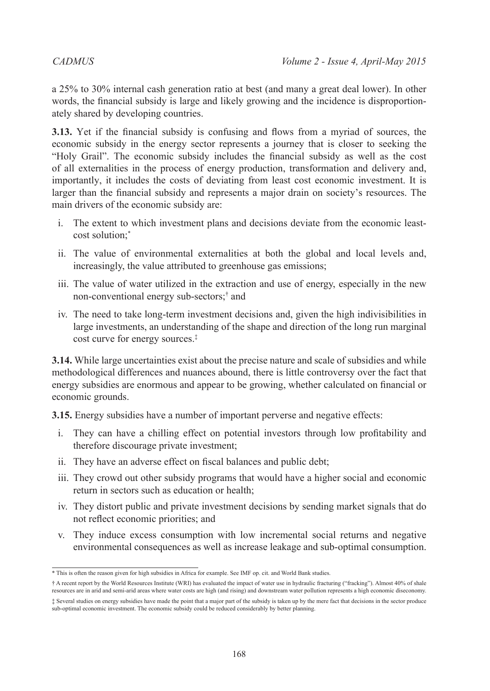a 25% to 30% internal cash generation ratio at best (and many a great deal lower). In other words, the financial subsidy is large and likely growing and the incidence is disproportionately shared by developing countries.

**3.13.** Yet if the financial subsidy is confusing and flows from a myriad of sources, the economic subsidy in the energy sector represents a journey that is closer to seeking the "Holy Grail". The economic subsidy includes the financial subsidy as well as the cost of all externalities in the process of energy production, transformation and delivery and, importantly, it includes the costs of deviating from least cost economic investment. It is larger than the financial subsidy and represents a major drain on society's resources. The main drivers of the economic subsidy are:

- i. The extent to which investment plans and decisions deviate from the economic leastcost solution;\*
- ii. The value of environmental externalities at both the global and local levels and, increasingly, the value attributed to greenhouse gas emissions;
- iii. The value of water utilized in the extraction and use of energy, especially in the new non-conventional energy sub-sectors;† and
- iv. The need to take long-term investment decisions and, given the high indivisibilities in large investments, an understanding of the shape and direction of the long run marginal cost curve for energy sources.‡

**3.14.** While large uncertainties exist about the precise nature and scale of subsidies and while methodological differences and nuances abound, there is little controversy over the fact that energy subsidies are enormous and appear to be growing, whether calculated on financial or economic grounds.

**3.15.** Energy subsidies have a number of important perverse and negative effects:

- i. They can have a chilling effect on potential investors through low profitability and therefore discourage private investment;
- ii. They have an adverse effect on fiscal balances and public debt;
- iii. They crowd out other subsidy programs that would have a higher social and economic return in sectors such as education or health;
- iv. They distort public and private investment decisions by sending market signals that do not reflect economic priorities; and
- v. They induce excess consumption with low incremental social returns and negative environmental consequences as well as increase leakage and sub-optimal consumption.

<sup>\*</sup> This is often the reason given for high subsidies in Africa for example. See IMF op. cit. and World Bank studies.

<sup>†</sup> A recent report by the World Resources Institute (WRI) has evaluated the impact of water use in hydraulic fracturing ("fracking"). Almost 40% of shale resources are in arid and semi-arid areas where water costs are high (and rising) and downstream water pollution represents a high economic diseconomy. ‡ Several studies on energy subsidies have made the point that a major part of the subsidy is taken up by the mere fact that decisions in the sector produce

sub-optimal economic investment. The economic subsidy could be reduced considerably by better planning.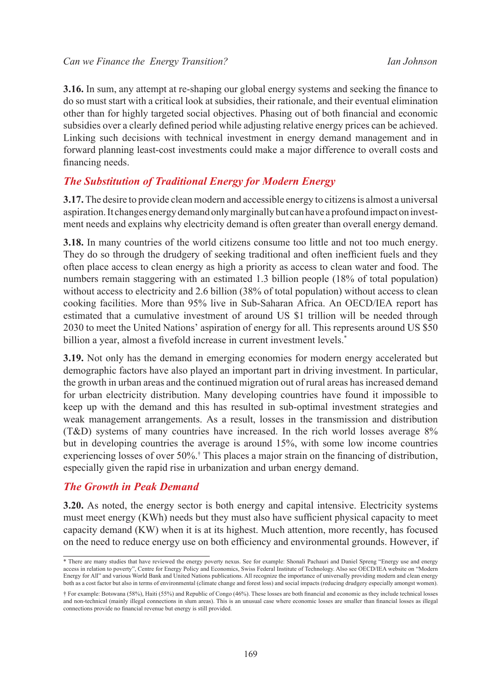#### *Can we Finance the Energy Transition? Ian Johnson*

**3.16.** In sum, any attempt at re-shaping our global energy systems and seeking the finance to do so must start with a critical look at subsidies, their rationale, and their eventual elimination other than for highly targeted social objectives. Phasing out of both financial and economic subsidies over a clearly defined period while adjusting relative energy prices can be achieved. Linking such decisions with technical investment in energy demand management and in forward planning least-cost investments could make a major difference to overall costs and financing needs.

# *The Substitution of Traditional Energy for Modern Energy*

**3.17.** The desire to provide clean modern and accessible energy to citizens is almost a universal aspiration. It changes energy demand only marginally but can have a profound impact on investment needs and explains why electricity demand is often greater than overall energy demand.

**3.18.** In many countries of the world citizens consume too little and not too much energy. They do so through the drudgery of seeking traditional and often inefficient fuels and they often place access to clean energy as high a priority as access to clean water and food. The numbers remain staggering with an estimated 1.3 billion people (18% of total population) without access to electricity and 2.6 billion (38% of total population) without access to clean cooking facilities. More than 95% live in Sub-Saharan Africa. An OECD/IEA report has estimated that a cumulative investment of around US \$1 trillion will be needed through 2030 to meet the United Nations' aspiration of energy for all. This represents around US \$50 billion a year, almost a fivefold increase in current investment levels.<sup>\*</sup>

**3.19.** Not only has the demand in emerging economies for modern energy accelerated but demographic factors have also played an important part in driving investment. In particular, the growth in urban areas and the continued migration out of rural areas has increased demand for urban electricity distribution. Many developing countries have found it impossible to keep up with the demand and this has resulted in sub-optimal investment strategies and weak management arrangements. As a result, losses in the transmission and distribution (T&D) systems of many countries have increased. In the rich world losses average 8% but in developing countries the average is around 15%, with some low income countries experiencing losses of over 50%.† This places a major strain on the financing of distribution, especially given the rapid rise in urbanization and urban energy demand.

### *The Growth in Peak Demand*

**3.20.** As noted, the energy sector is both energy and capital intensive. Electricity systems must meet energy (KWh) needs but they must also have sufficient physical capacity to meet capacity demand (KW) when it is at its highest. Much attention, more recently, has focused on the need to reduce energy use on both efficiency and environmental grounds. However, if

<sup>\*</sup> There are many studies that have reviewed the energy poverty nexus. See for example: Shonali Pachauri and Daniel Spreng "Energy use and energy access in relation to poverty", Centre for Energy Policy and Economics, Swiss Federal Institute of Technology. Also see OECD/IEA website on "Modern Energy for All" and various World Bank and United Nations publications. All recognize the importance of universally providing modern and clean energy both as a cost factor but also in terms of environmental (climate change and forest loss) and social impacts (reducing drudgery especially amongst women).

<sup>†</sup> For example: Botswana (58%), Haiti (55%) and Republic of Congo (46%). These losses are both financial and economic as they include technical losses and non-technical (mainly illegal connections in slum areas). This is an unusual case where economic losses are smaller than financial losses as illegal connections provide no financial revenue but energy is still provided.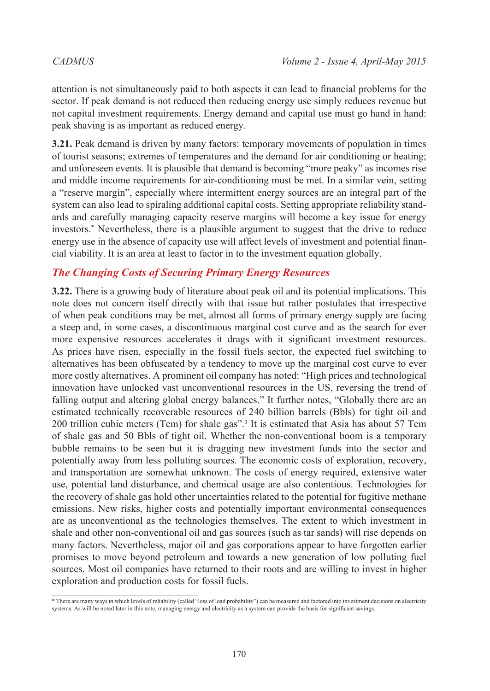attention is not simultaneously paid to both aspects it can lead to financial problems for the sector. If peak demand is not reduced then reducing energy use simply reduces revenue but not capital investment requirements. Energy demand and capital use must go hand in hand: peak shaving is as important as reduced energy.

**3.21.** Peak demand is driven by many factors: temporary movements of population in times of tourist seasons; extremes of temperatures and the demand for air conditioning or heating; and unforeseen events. It is plausible that demand is becoming "more peaky" as incomes rise and middle income requirements for air-conditioning must be met. In a similar vein, setting a "reserve margin", especially where intermittent energy sources are an integral part of the system can also lead to spiraling additional capital costs. Setting appropriate reliability standards and carefully managing capacity reserve margins will become a key issue for energy investors.\* Nevertheless, there is a plausible argument to suggest that the drive to reduce energy use in the absence of capacity use will affect levels of investment and potential financial viability. It is an area at least to factor in to the investment equation globally.

### *The Changing Costs of Securing Primary Energy Resources*

**3.22.** There is a growing body of literature about peak oil and its potential implications. This note does not concern itself directly with that issue but rather postulates that irrespective of when peak conditions may be met, almost all forms of primary energy supply are facing a steep and, in some cases, a discontinuous marginal cost curve and as the search for ever more expensive resources accelerates it drags with it significant investment resources. As prices have risen, especially in the fossil fuels sector, the expected fuel switching to alternatives has been obfuscated by a tendency to move up the marginal cost curve to ever more costly alternatives. A prominent oil company has noted: "High prices and technological innovation have unlocked vast unconventional resources in the US, reversing the trend of falling output and altering global energy balances." It further notes, "Globally there are an estimated technically recoverable resources of 240 billion barrels (Bbls) for tight oil and 200 trillion cubic meters (Tcm) for shale gas".[3](#page-21-2) It is estimated that Asia has about 57 Tcm of shale gas and 50 Bbls of tight oil. Whether the non-conventional boom is a temporary bubble remains to be seen but it is dragging new investment funds into the sector and potentially away from less polluting sources. The economic costs of exploration, recovery, and transportation are somewhat unknown. The costs of energy required, extensive water use, potential land disturbance, and chemical usage are also contentious. Technologies for the recovery of shale gas hold other uncertainties related to the potential for fugitive methane emissions. New risks, higher costs and potentially important environmental consequences are as unconventional as the technologies themselves. The extent to which investment in shale and other non-conventional oil and gas sources (such as tar sands) will rise depends on many factors. Nevertheless, major oil and gas corporations appear to have forgotten earlier promises to move beyond petroleum and towards a new generation of low polluting fuel sources. Most oil companies have returned to their roots and are willing to invest in higher exploration and production costs for fossil fuels.

 $*$  There are many ways in which levels of reliability (called "loss of load probability") can be measured and factored into investment decisions on electricity systems. As will be noted later in this note, managing energy and electricity as a system can provide the basis for significant savings.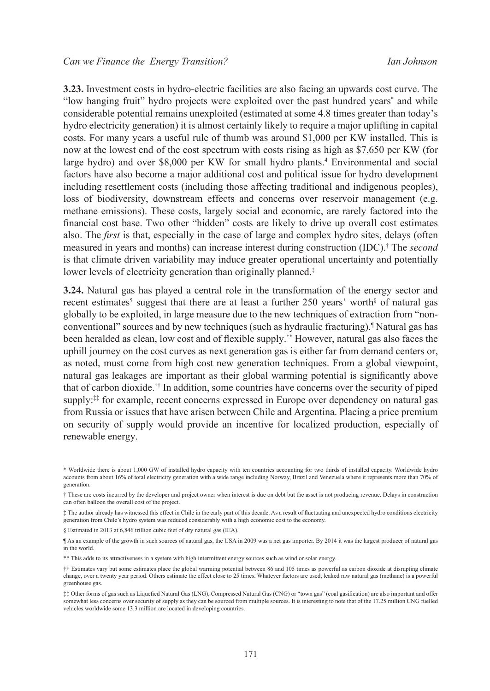**3.23.** Investment costs in hydro-electric facilities are also facing an upwards cost curve. The "low hanging fruit" hydro projects were exploited over the past hundred years\* and while considerable potential remains unexploited (estimated at some 4.8 times greater than today's hydro electricity generation) it is almost certainly likely to require a major uplifting in capital costs. For many years a useful rule of thumb was around \$1,000 per KW installed. This is now at the lowest end of the cost spectrum with costs rising as high as \$7,650 per KW (for large hydro) and over \$8,000 per KW for small hydro plants.<sup>4</sup> Environmental and social factors have also become a major additional cost and political issue for hydro development including resettlement costs (including those affecting traditional and indigenous peoples), loss of biodiversity, downstream effects and concerns over reservoir management (e.g. methane emissions). These costs, largely social and economic, are rarely factored into the financial cost base. Two other "hidden" costs are likely to drive up overall cost estimates also. The *first* is that, especially in the case of large and complex hydro sites, delays (often measured in years and months) can increase interest during construction (IDC).† The *second* is that climate driven variability may induce greater operational uncertainty and potentially lower levels of electricity generation than originally planned.‡

**3.24.** Natural gas has played a central role in the transformation of the energy sector and recent estimates<sup>[5](#page-21-4)</sup> suggest that there are at least a further 250 years' worth<sup>§</sup> of natural gas globally to be exploited, in large measure due to the new techniques of extraction from "nonconventional" sources and by new techniques (such as hydraulic fracturing).¶ Natural gas has been heralded as clean, low cost and of flexible supply.\*\* However, natural gas also faces the uphill journey on the cost curves as next generation gas is either far from demand centers or, as noted, must come from high cost new generation techniques. From a global viewpoint, natural gas leakages are important as their global warming potential is significantly above that of carbon dioxide.†† In addition, some countries have concerns over the security of piped supply:<sup>‡‡</sup> for example, recent concerns expressed in Europe over dependency on natural gas from Russia or issues that have arisen between Chile and Argentina. Placing a price premium on security of supply would provide an incentive for localized production, especially of renewable energy.

<sup>\*</sup> Worldwide there is about 1,000 GW of installed hydro capacity with ten countries accounting for two thirds of installed capacity. Worldwide hydro accounts from about 16% of total electricity generation with a wide range including Norway, Brazil and Venezuela where it represents more than 70% of generation.

<sup>†</sup> These are costs incurred by the developer and project owner when interest is due on debt but the asset is not producing revenue. Delays in construction can often balloon the overall cost of the project.

<sup>‡</sup> The author already has witnessed this effect in Chile in the early part of this decade. As a result of fluctuating and unexpected hydro conditions electricity generation from Chile's hydro system was reduced considerably with a high economic cost to the economy.

<sup>§</sup> Estimated in 2013 at 6,846 trillion cubic feet of dry natural gas (IEA).

<sup>¶</sup> As an example of the growth in such sources of natural gas, the USA in 2009 was a net gas importer. By 2014 it was the largest producer of natural gas in the world.

<sup>\*\*</sup> This adds to its attractiveness in a system with high intermittent energy sources such as wind or solar energy.

<sup>††</sup> Estimates vary but some estimates place the global warming potential between 86 and 105 times as powerful as carbon dioxide at disrupting climate change, over a twenty year period. Others estimate the effect close to 25 times. Whatever factors are used, leaked raw natural gas (methane) is a powerful greenhouse gas.

<sup>‡‡</sup> Other forms of gas such as Liquefied Natural Gas (LNG), Compressed Natural Gas (CNG) or "town gas" (coal gasification) are also important and offer somewhat less concerns over security of supply as they can be sourced from multiple sources. It is interesting to note that of the 17.25 million CNG fuelled vehicles worldwide some 13.3 million are located in developing countries.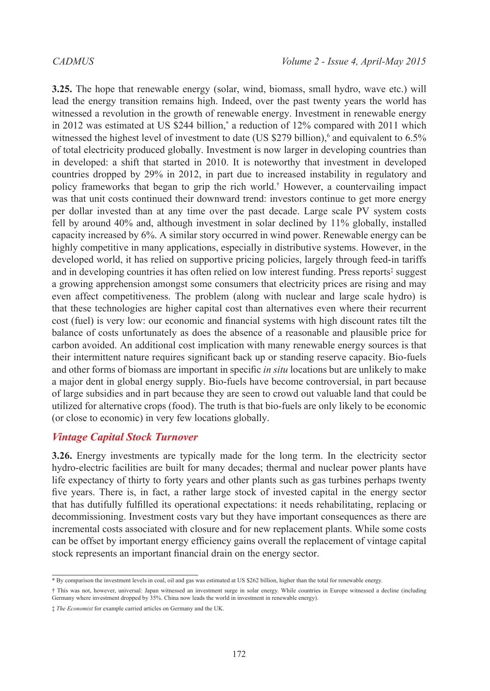**3.25.** The hope that renewable energy (solar, wind, biomass, small hydro, wave etc.) will lead the energy transition remains high. Indeed, over the past twenty years the world has witnessed a revolution in the growth of renewable energy. Investment in renewable energy in 2012 was estimated at US \$244 billion,\* a reduction of 12% compared with 2011 which witnessed the highest level of investment to date (US \$279 billion),<sup>[6](#page-21-5)</sup> and equivalent to  $6.5\%$ of total electricity produced globally. Investment is now larger in developing countries than in developed: a shift that started in 2010. It is noteworthy that investment in developed countries dropped by 29% in 2012, in part due to increased instability in regulatory and policy frameworks that began to grip the rich world.† However, a countervailing impact was that unit costs continued their downward trend: investors continue to get more energy per dollar invested than at any time over the past decade. Large scale PV system costs fell by around 40% and, although investment in solar declined by 11% globally, installed capacity increased by 6%. A similar story occurred in wind power. Renewable energy can be highly competitive in many applications, especially in distributive systems. However, in the developed world, it has relied on supportive pricing policies, largely through feed-in tariffs and in developing countries it has often relied on low interest funding. Press reports<sup>‡</sup> suggest a growing apprehension amongst some consumers that electricity prices are rising and may even affect competitiveness. The problem (along with nuclear and large scale hydro) is that these technologies are higher capital cost than alternatives even where their recurrent cost (fuel) is very low: our economic and financial systems with high discount rates tilt the balance of costs unfortunately as does the absence of a reasonable and plausible price for carbon avoided. An additional cost implication with many renewable energy sources is that their intermittent nature requires significant back up or standing reserve capacity. Bio-fuels and other forms of biomass are important in specific *in situ* locations but are unlikely to make a major dent in global energy supply. Bio-fuels have become controversial, in part because of large subsidies and in part because they are seen to crowd out valuable land that could be utilized for alternative crops (food). The truth is that bio-fuels are only likely to be economic (or close to economic) in very few locations globally.

### *Vintage Capital Stock Turnover*

**3.26.** Energy investments are typically made for the long term. In the electricity sector hydro-electric facilities are built for many decades; thermal and nuclear power plants have life expectancy of thirty to forty years and other plants such as gas turbines perhaps twenty five years. There is, in fact, a rather large stock of invested capital in the energy sector that has dutifully fulfilled its operational expectations: it needs rehabilitating, replacing or decommissioning. Investment costs vary but they have important consequences as there are incremental costs associated with closure and for new replacement plants. While some costs can be offset by important energy efficiency gains overall the replacement of vintage capital stock represents an important financial drain on the energy sector.

<sup>\*</sup> By comparison the investment levels in coal, oil and gas was estimated at US \$262 billion, higher than the total for renewable energy.

<sup>†</sup> This was not, however, universal: Japan witnessed an investment surge in solar energy. While countries in Europe witnessed a decline (including Germany where investment dropped by 35%. China now leads the world in investment in renewable energy).

<sup>‡</sup> *The Economist* for example carried articles on Germany and the UK.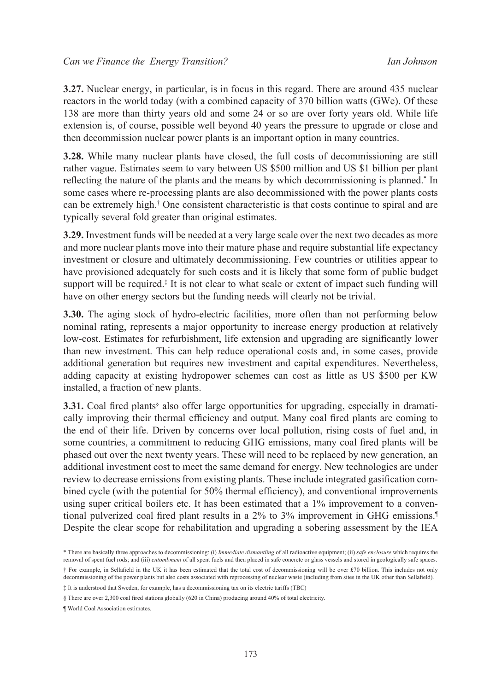**3.27.** Nuclear energy, in particular, is in focus in this regard. There are around 435 nuclear reactors in the world today (with a combined capacity of 370 billion watts (GWe). Of these 138 are more than thirty years old and some 24 or so are over forty years old. While life extension is, of course, possible well beyond 40 years the pressure to upgrade or close and then decommission nuclear power plants is an important option in many countries.

**3.28.** While many nuclear plants have closed, the full costs of decommissioning are still rather vague. Estimates seem to vary between US \$500 million and US \$1 billion per plant reflecting the nature of the plants and the means by which decommissioning is planned.\* In some cases where re-processing plants are also decommissioned with the power plants costs can be extremely high.† One consistent characteristic is that costs continue to spiral and are typically several fold greater than original estimates.

**3.29.** Investment funds will be needed at a very large scale over the next two decades as more and more nuclear plants move into their mature phase and require substantial life expectancy investment or closure and ultimately decommissioning. Few countries or utilities appear to have provisioned adequately for such costs and it is likely that some form of public budget support will be required.<sup> $\ddagger$ </sup> It is not clear to what scale or extent of impact such funding will have on other energy sectors but the funding needs will clearly not be trivial.

**3.30.** The aging stock of hydro-electric facilities, more often than not performing below nominal rating, represents a major opportunity to increase energy production at relatively low-cost. Estimates for refurbishment, life extension and upgrading are significantly lower than new investment. This can help reduce operational costs and, in some cases, provide additional generation but requires new investment and capital expenditures. Nevertheless, adding capacity at existing hydropower schemes can cost as little as US \$500 per KW installed, a fraction of new plants.

**3.31.** Coal fired plants<sup>§</sup> also offer large opportunities for upgrading, especially in dramatically improving their thermal efficiency and output. Many coal fired plants are coming to the end of their life. Driven by concerns over local pollution, rising costs of fuel and, in some countries, a commitment to reducing GHG emissions, many coal fired plants will be phased out over the next twenty years. These will need to be replaced by new generation, an additional investment cost to meet the same demand for energy. New technologies are under review to decrease emissions from existing plants. These include integrated gasification combined cycle (with the potential for 50% thermal efficiency), and conventional improvements using super critical boilers etc. It has been estimated that a 1% improvement to a conventional pulverized coal fired plant results in a 2% to 3% improvement in GHG emissions.¶ Despite the clear scope for rehabilitation and upgrading a sobering assessment by the IEA

<sup>\*</sup> There are basically three approaches to decommissioning: (i) *Immediate dismantling* of all radioactive equipment; (ii) *safe enclosure* which requires the removal of spent fuel rods; and (iii) *entombment* of all spent fuels and then placed in safe concrete or glass vessels and stored in geologically safe spaces.

<sup>†</sup> For example, in Sellafield in the UK it has been estimated that the total cost of decommissioning will be over £70 billion. This includes not only decommissioning of the power plants but also costs associated with reprocessing of nuclear waste (including from sites in the UK other than Sellafield).

<sup>‡</sup> It is understood that Sweden, for example, has a decommissioning tax on its electric tariffs (TBC)

<sup>§</sup> There are over 2,300 coal fired stations globally (620 in China) producing around 40% of total electricity.

<sup>¶</sup> World Coal Association estimates.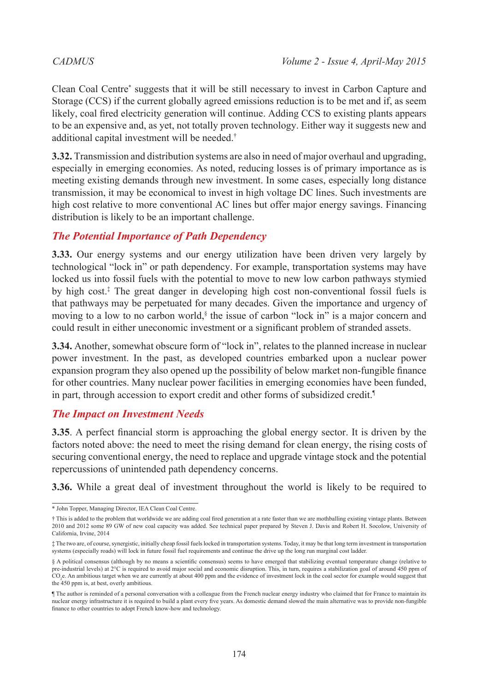Clean Coal Centre\* suggests that it will be still necessary to invest in Carbon Capture and Storage (CCS) if the current globally agreed emissions reduction is to be met and if, as seem likely, coal fired electricity generation will continue. Adding CCS to existing plants appears to be an expensive and, as yet, not totally proven technology. Either way it suggests new and additional capital investment will be needed.†

**3.32.** Transmission and distribution systems are also in need of major overhaul and upgrading, especially in emerging economies. As noted, reducing losses is of primary importance as is meeting existing demands through new investment. In some cases, especially long distance transmission, it may be economical to invest in high voltage DC lines. Such investments are high cost relative to more conventional AC lines but offer major energy savings. Financing distribution is likely to be an important challenge.

# *The Potential Importance of Path Dependency*

**3.33.** Our energy systems and our energy utilization have been driven very largely by technological "lock in" or path dependency. For example, transportation systems may have locked us into fossil fuels with the potential to move to new low carbon pathways stymied by high cost.‡ The great danger in developing high cost non-conventional fossil fuels is that pathways may be perpetuated for many decades. Given the importance and urgency of moving to a low to no carbon world,<sup>§</sup> the issue of carbon "lock in" is a major concern and could result in either uneconomic investment or a significant problem of stranded assets.

**3.34.** Another, somewhat obscure form of "lock in", relates to the planned increase in nuclear power investment. In the past, as developed countries embarked upon a nuclear power expansion program they also opened up the possibility of below market non-fungible finance for other countries. Many nuclear power facilities in emerging economies have been funded, in part, through accession to export credit and other forms of subsidized credit.¶

### *The Impact on Investment Needs*

**3.35**. A perfect financial storm is approaching the global energy sector. It is driven by the factors noted above: the need to meet the rising demand for clean energy, the rising costs of securing conventional energy, the need to replace and upgrade vintage stock and the potential repercussions of unintended path dependency concerns.

**3.36.** While a great deal of investment throughout the world is likely to be required to

<sup>\*</sup> John Topper, Managing Director, IEA Clean Coal Centre.

<sup>†</sup> This is added to the problem that worldwide we are adding coal fired generation at a rate faster than we are mothballing existing vintage plants. Between 2010 and 2012 some 89 GW of new coal capacity was added. See technical paper prepared by Steven J. Davis and Robert H. Socolow, University of California, Irvine, 2014

<sup>‡</sup> The two are, of course, synergistic, initially cheap fossil fuels locked in transportation systems. Today, it may be that long term investment in transportation systems (especially roads) will lock in future fossil fuel requirements and continue the drive up the long run marginal cost ladder.

<sup>§</sup> A political consensus (although by no means a scientific consensus) seems to have emerged that stabilizing eventual temperature change (relative to pre-industrial levels) at 2°C is required to avoid major social and economic disruption. This, in turn, requires a stabilization goal of around 450 ppm of CO2 e. An ambitious target when we are currently at about 400 ppm and the evidence of investment lock in the coal sector for example would suggest that the 450 ppm is, at best, overly ambitious.

<sup>¶</sup> The author is reminded of a personal conversation with a colleague from the French nuclear energy industry who claimed that for France to maintain its nuclear energy infrastructure it is required to build a plant every five years. As domestic demand slowed the main alternative was to provide non-fungible finance to other countries to adopt French know-how and technology.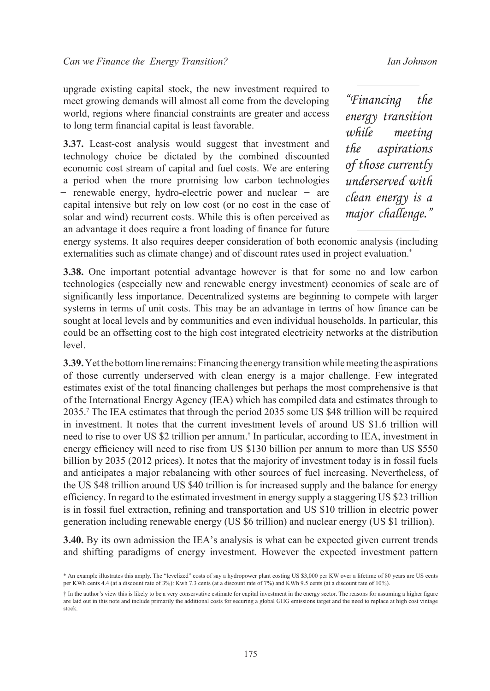upgrade existing capital stock, the new investment required to meet growing demands will almost all come from the developing world, regions where financial constraints are greater and access to long term financial capital is least favorable.

**3.37.** Least-cost analysis would suggest that investment and technology choice be dictated by the combined discounted economic cost stream of capital and fuel costs. We are entering a period when the more promising low carbon technologies ̶ renewable energy, hydro-electric power and nuclear ̶ are capital intensive but rely on low cost (or no cost in the case of solar and wind) recurrent costs. While this is often perceived as an advantage it does require a front loading of finance for future

*"Financing the energy transition while meeting the aspirations of those currently underserved with clean energy is a major challenge."*

energy systems. It also requires deeper consideration of both economic analysis (including externalities such as climate change) and of discount rates used in project evaluation.<sup>\*</sup>

**3.38.** One important potential advantage however is that for some no and low carbon technologies (especially new and renewable energy investment) economies of scale are of significantly less importance. Decentralized systems are beginning to compete with larger systems in terms of unit costs. This may be an advantage in terms of how finance can be sought at local levels and by communities and even individual households. In particular, this could be an offsetting cost to the high cost integrated electricity networks at the distribution level.

**3.39.** Yet the bottom line remains: Financing the energy transition while meeting the aspirations of those currently underserved with clean energy is a major challenge. Few integrated estimates exist of the total financing challenges but perhaps the most comprehensive is that of the International Energy Agency (IEA) which has compiled data and estimates through to 2035.[7](#page-21-6) The IEA estimates that through the period 2035 some US \$48 trillion will be required in investment. It notes that the current investment levels of around US \$1.6 trillion will need to rise to over US \$2 trillion per annum.† In particular, according to IEA, investment in energy efficiency will need to rise from US \$130 billion per annum to more than US \$550 billion by 2035 (2012 prices). It notes that the majority of investment today is in fossil fuels and anticipates a major rebalancing with other sources of fuel increasing. Nevertheless, of the US \$48 trillion around US \$40 trillion is for increased supply and the balance for energy efficiency. In regard to the estimated investment in energy supply a staggering US \$23 trillion is in fossil fuel extraction, refining and transportation and US \$10 trillion in electric power generation including renewable energy (US \$6 trillion) and nuclear energy (US \$1 trillion).

**3.40.** By its own admission the IEA's analysis is what can be expected given current trends and shifting paradigms of energy investment. However the expected investment pattern

<sup>\*</sup> An example illustrates this amply. The "levelized" costs of say a hydropower plant costing US \$3,000 per KW over a lifetime of 80 years are US cents per KWh cents 4.4 (at a discount rate of 3%): Kwh 7.3 cents (at a discount rate of 7%) and KWh 9.5 cents (at a discount rate of 10%).

<sup>†</sup> In the author's view this is likely to be a very conservative estimate for capital investment in the energy sector. The reasons for assuming a higher figure are laid out in this note and include primarily the additional costs for securing a global GHG emissions target and the need to replace at high cost vintage stock.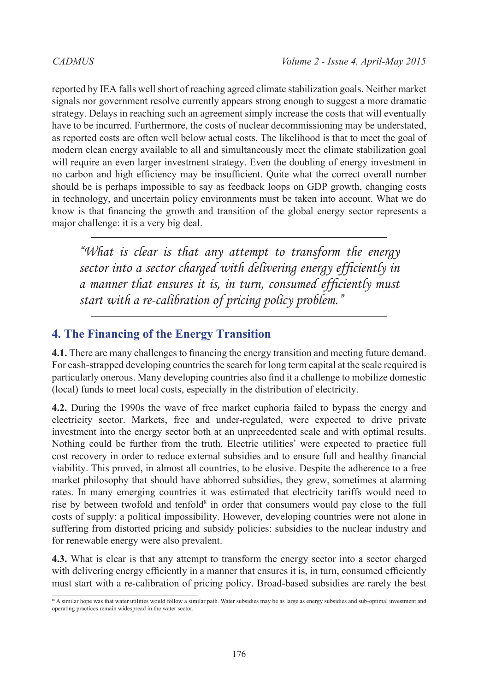reported by IEA falls well short of reaching agreed climate stabilization goals. Neither market signals nor government resolve currently appears strong enough to suggest a more dramatic strategy. Delays in reaching such an agreement simply increase the costs that will eventually have to be incurred. Furthermore, the costs of nuclear decommissioning may be understated, as reported costs are often well below actual costs. The likelihood is that to meet the goal of modern clean energy available to all and simultaneously meet the climate stabilization goal will require an even larger investment strategy. Even the doubling of energy investment in no carbon and high efficiency may be insufficient. Quite what the correct overall number should be is perhaps impossible to say as feedback loops on GDP growth, changing costs in technology, and uncertain policy environments must be taken into account. What we do know is that financing the growth and transition of the global energy sector represents a major challenge: it is a very big deal.

*"What is clear is that any attempt to transform the energy sector into a sector charged with delivering energy efficiently in a manner that ensures it is, in turn, consumed efficiently must start with a re-calibration of pricing policy problem."*

# **4. The Financing of the Energy Transition**

**4.1.** There are many challenges to financing the energy transition and meeting future demand. For cash-strapped developing countries the search for long term capital at the scale required is particularly onerous. Many developing countries also find it a challenge to mobilize domestic (local) funds to meet local costs, especially in the distribution of electricity.

**4.2.** During the 1990s the wave of free market euphoria failed to bypass the energy and electricity sector. Markets, free and under-regulated, were expected to drive private investment into the energy sector both at an unprecedented scale and with optimal results. Nothing could be further from the truth. Electric utilities\* were expected to practice full cost recovery in order to reduce external subsidies and to ensure full and healthy financial viability. This proved, in almost all countries, to be elusive. Despite the adherence to a free market philosophy that should have abhorred subsidies, they grew, sometimes at alarming rates. In many emerging countries it was estimated that electricity tariffs would need to rise by between twofold and tenfold<sup>8</sup> in order that consumers would pay close to the full costs of supply: a political impossibility. However, developing countries were not alone in suffering from distorted pricing and subsidy policies: subsidies to the nuclear industry and for renewable energy were also prevalent.

**4.3.** What is clear is that any attempt to transform the energy sector into a sector charged with delivering energy efficiently in a manner that ensures it is, in turn, consumed efficiently must start with a re-calibration of pricing policy. Broad-based subsidies are rarely the best

 $\overline{a}$   $\overline{b}$  a similar hope was that water utilities would follow a similar path. Water subsidies may be as large as energy subsidies and sub-optimal investment and operating practices remain widespread in the water sector.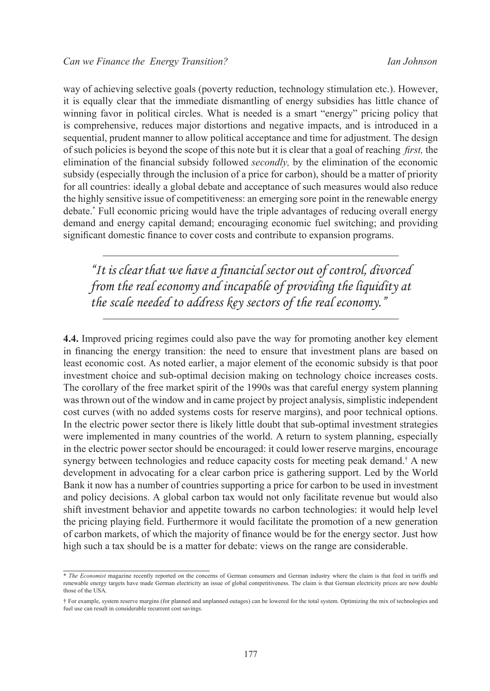way of achieving selective goals (poverty reduction, technology stimulation etc.). However, it is equally clear that the immediate dismantling of energy subsidies has little chance of winning favor in political circles. What is needed is a smart "energy" pricing policy that is comprehensive, reduces major distortions and negative impacts, and is introduced in a sequential, prudent manner to allow political acceptance and time for adjustment. The design of such policies is beyond the scope of this note but it is clear that a goal of reaching *first,* the elimination of the financial subsidy followed *secondly,* by the elimination of the economic subsidy (especially through the inclusion of a price for carbon), should be a matter of priority for all countries: ideally a global debate and acceptance of such measures would also reduce the highly sensitive issue of competitiveness: an emerging sore point in the renewable energy debate.\* Full economic pricing would have the triple advantages of reducing overall energy demand and energy capital demand; encouraging economic fuel switching; and providing significant domestic finance to cover costs and contribute to expansion programs.

*"It is clear that we have a financial sector out of control, divorced from the real economy and incapable of providing the liquidity at the scale needed to address key sectors of the real economy."*

**4.4.** Improved pricing regimes could also pave the way for promoting another key element in financing the energy transition: the need to ensure that investment plans are based on least economic cost. As noted earlier, a major element of the economic subsidy is that poor investment choice and sub-optimal decision making on technology choice increases costs. The corollary of the free market spirit of the 1990s was that careful energy system planning was thrown out of the window and in came project by project analysis, simplistic independent cost curves (with no added systems costs for reserve margins), and poor technical options. In the electric power sector there is likely little doubt that sub-optimal investment strategies were implemented in many countries of the world. A return to system planning, especially in the electric power sector should be encouraged: it could lower reserve margins, encourage synergy between technologies and reduce capacity costs for meeting peak demand.<sup>†</sup> A new development in advocating for a clear carbon price is gathering support. Led by the World Bank it now has a number of countries supporting a price for carbon to be used in investment and policy decisions. A global carbon tax would not only facilitate revenue but would also shift investment behavior and appetite towards no carbon technologies: it would help level the pricing playing field. Furthermore it would facilitate the promotion of a new generation of carbon markets, of which the majority of finance would be for the energy sector. Just how high such a tax should be is a matter for debate: views on the range are considerable.

<sup>\*</sup> *The Economist* magazine recently reported on the concerns of German consumers and German industry where the claim is that feed in tariffs and renewable energy targets have made German electricity an issue of global competitiveness. The claim is that German electricity prices are now double those of the USA.

<sup>†</sup> For example, system reserve margins (for planned and unplanned outages) can be lowered for the total system. Optimizing the mix of technologies and fuel use can result in considerable recurrent cost savings.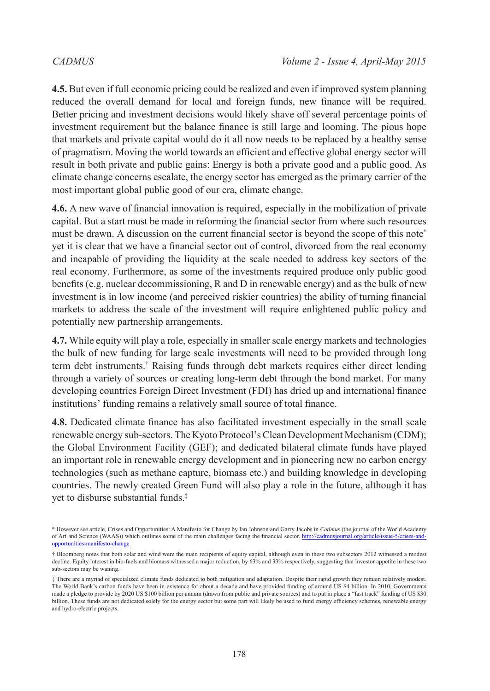**4.5.** But even if full economic pricing could be realized and even if improved system planning reduced the overall demand for local and foreign funds, new finance will be required. Better pricing and investment decisions would likely shave off several percentage points of investment requirement but the balance finance is still large and looming. The pious hope that markets and private capital would do it all now needs to be replaced by a healthy sense of pragmatism. Moving the world towards an efficient and effective global energy sector will result in both private and public gains: Energy is both a private good and a public good. As climate change concerns escalate, the energy sector has emerged as the primary carrier of the most important global public good of our era, climate change.

**4.6.** A new wave of financial innovation is required, especially in the mobilization of private capital. But a start must be made in reforming the financial sector from where such resources must be drawn. A discussion on the current financial sector is beyond the scope of this note\* yet it is clear that we have a financial sector out of control, divorced from the real economy and incapable of providing the liquidity at the scale needed to address key sectors of the real economy. Furthermore, as some of the investments required produce only public good benefits (e.g. nuclear decommissioning, R and D in renewable energy) and as the bulk of new investment is in low income (and perceived riskier countries) the ability of turning financial markets to address the scale of the investment will require enlightened public policy and potentially new partnership arrangements.

**4.7.** While equity will play a role, especially in smaller scale energy markets and technologies the bulk of new funding for large scale investments will need to be provided through long term debt instruments.† Raising funds through debt markets requires either direct lending through a variety of sources or creating long-term debt through the bond market. For many developing countries Foreign Direct Investment (FDI) has dried up and international finance institutions' funding remains a relatively small source of total finance.

**4.8.** Dedicated climate finance has also facilitated investment especially in the small scale renewable energy sub-sectors. The Kyoto Protocol's Clean Development Mechanism (CDM); the Global Environment Facility (GEF); and dedicated bilateral climate funds have played an important role in renewable energy development and in pioneering new no carbon energy technologies (such as methane capture, biomass etc.) and building knowledge in developing countries. The newly created Green Fund will also play a role in the future, although it has yet to disburse substantial funds.‡

<sup>\*</sup> However see article, Crises and Opportunities: A Manifesto for Change by Ian Johnson and Garry Jacobs in *Cadmus* (the journal of the World Academy of Art and Science (WAAS)) which outlines some of the main challenges facing the financial sector. [http://cadmusjournal.org/article/issue-5/crises-and](http://cadmusjournal.org/article/issue-5/crises-and-opportunities-manifesto-change)opportunities-manifesto-cha

<sup>†</sup> Bloomberg notes that both solar and wind were the main recipients of equity capital, although even in these two subsectors 2012 witnessed a modest decline. Equity interest in bio-fuels and biomass witnessed a major reduction, by 63% and 33% respectively, suggesting that investor appetite in these two sub-sectors may be waning.

<sup>‡</sup> There are a myriad of specialized climate funds dedicated to both mitigation and adaptation. Despite their rapid growth they remain relatively modest. The World Bank's carbon funds have been in existence for about a decade and have provided funding of around US \$4 billion. In 2010, Governments made a pledge to provide by 2020 US \$100 billion per annum (drawn from public and private sources) and to put in place a "fast track" funding of US \$30 billion. These funds are not dedicated solely for the energy sector but some part will likely be used to fund energy efficiency schemes, renewable energy and hydro-electric projects.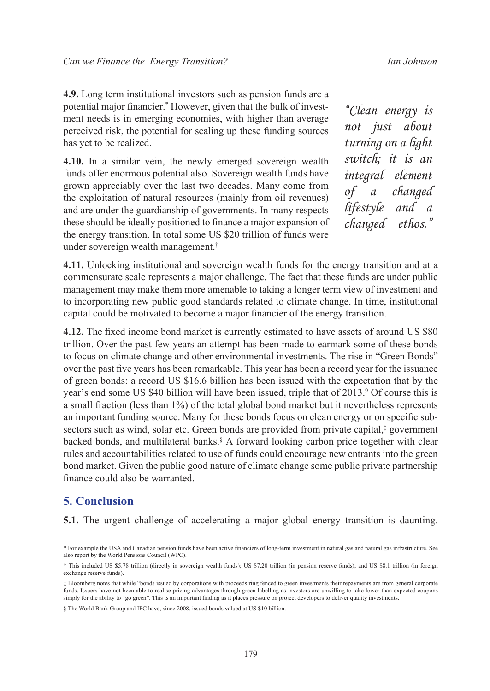**4.9.** Long term institutional investors such as pension funds are a potential major financier.\* However, given that the bulk of investment needs is in emerging economies, with higher than average perceived risk, the potential for scaling up these funding sources has yet to be realized.

**4.10.** In a similar vein, the newly emerged sovereign wealth funds offer enormous potential also. Sovereign wealth funds have grown appreciably over the last two decades. Many come from the exploitation of natural resources (mainly from oil revenues) and are under the guardianship of governments. In many respects these should be ideally positioned to finance a major expansion of the energy transition. In total some US \$20 trillion of funds were under sovereign wealth management.†

*"Clean energy is not just about turning on a light switch; it is an integral element of a changed lifestyle and a changed ethos."*

**4.11.** Unlocking institutional and sovereign wealth funds for the energy transition and at a commensurate scale represents a major challenge. The fact that these funds are under public management may make them more amenable to taking a longer term view of investment and to incorporating new public good standards related to climate change. In time, institutional capital could be motivated to become a major financier of the energy transition.

**4.12.** The fixed income bond market is currently estimated to have assets of around US \$80 trillion. Over the past few years an attempt has been made to earmark some of these bonds to focus on climate change and other environmental investments. The rise in "Green Bonds" over the past five years has been remarkable. This year has been a record year for the issuance of green bonds: a record US \$16.6 billion has been issued with the expectation that by the year's end some US \$40 billion will have been issued, triple that of 2013.<sup>[9](#page-21-8)</sup> Of course this is a small fraction (less than 1%) of the total global bond market but it nevertheless represents an important funding source. Many for these bonds focus on clean energy or on specific subsectors such as wind, solar etc. Green bonds are provided from private capital,‡ government backed bonds, and multilateral banks.<sup>§</sup> A forward looking carbon price together with clear rules and accountabilities related to use of funds could encourage new entrants into the green bond market. Given the public good nature of climate change some public private partnership finance could also be warranted.

### **5. Conclusion**

**5.1.** The urgent challenge of accelerating a major global energy transition is daunting.

<sup>\*</sup> For example the USA and Canadian pension funds have been active financiers of long-term investment in natural gas and natural gas infrastructure. See also report by the World Pensions Council (WPC).

<sup>†</sup> This included US \$5.78 trillion (directly in sovereign wealth funds); US \$7.20 trillion (in pension reserve funds); and US \$8.1 trillion (in foreign exchange reserve funds).

<sup>‡</sup> Bloomberg notes that while "bonds issued by corporations with proceeds ring fenced to green investments their repayments are from general corporate funds. Issuers have not been able to realise pricing advantages through green labelling as investors are unwilling to take lower than expected coupons simply for the ability to "go green". This is an important finding as it places pressure on project developers to deliver quality investments.

<sup>§</sup> The World Bank Group and IFC have, since 2008, issued bonds valued at US \$10 billion.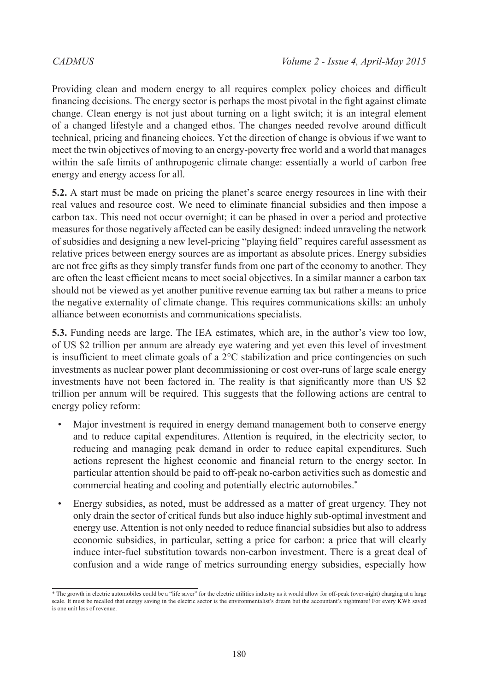Providing clean and modern energy to all requires complex policy choices and difficult financing decisions. The energy sector is perhaps the most pivotal in the fight against climate change. Clean energy is not just about turning on a light switch; it is an integral element of a changed lifestyle and a changed ethos. The changes needed revolve around difficult technical, pricing and financing choices. Yet the direction of change is obvious if we want to meet the twin objectives of moving to an energy-poverty free world and a world that manages within the safe limits of anthropogenic climate change: essentially a world of carbon free energy and energy access for all.

**5.2.** A start must be made on pricing the planet's scarce energy resources in line with their real values and resource cost. We need to eliminate financial subsidies and then impose a carbon tax. This need not occur overnight; it can be phased in over a period and protective measures for those negatively affected can be easily designed: indeed unraveling the network of subsidies and designing a new level-pricing "playing field" requires careful assessment as relative prices between energy sources are as important as absolute prices. Energy subsidies are not free gifts as they simply transfer funds from one part of the economy to another. They are often the least efficient means to meet social objectives. In a similar manner a carbon tax should not be viewed as yet another punitive revenue earning tax but rather a means to price the negative externality of climate change. This requires communications skills: an unholy alliance between economists and communications specialists.

**5.3.** Funding needs are large. The IEA estimates, which are, in the author's view too low, of US \$2 trillion per annum are already eye watering and yet even this level of investment is insufficient to meet climate goals of a  $2^{\circ}$ C stabilization and price contingencies on such investments as nuclear power plant decommissioning or cost over-runs of large scale energy investments have not been factored in. The reality is that significantly more than US \$2 trillion per annum will be required. This suggests that the following actions are central to energy policy reform:

- Major investment is required in energy demand management both to conserve energy and to reduce capital expenditures. Attention is required, in the electricity sector, to reducing and managing peak demand in order to reduce capital expenditures. Such actions represent the highest economic and financial return to the energy sector. In particular attention should be paid to off-peak no-carbon activities such as domestic and commercial heating and cooling and potentially electric automobiles.\*
- Energy subsidies, as noted, must be addressed as a matter of great urgency. They not only drain the sector of critical funds but also induce highly sub-optimal investment and energy use. Attention is not only needed to reduce financial subsidies but also to address economic subsidies, in particular, setting a price for carbon: a price that will clearly induce inter-fuel substitution towards non-carbon investment. There is a great deal of confusion and a wide range of metrics surrounding energy subsidies, especially how

<sup>\*</sup> The growth in electric automobiles could be a "life saver" for the electric utilities industry as it would allow for off-peak (over-night) charging at a large scale. It must be recalled that energy saving in the electric sector is the environmentalist's dream but the accountant's nightmare! For every KWh saved is one unit less of revenue.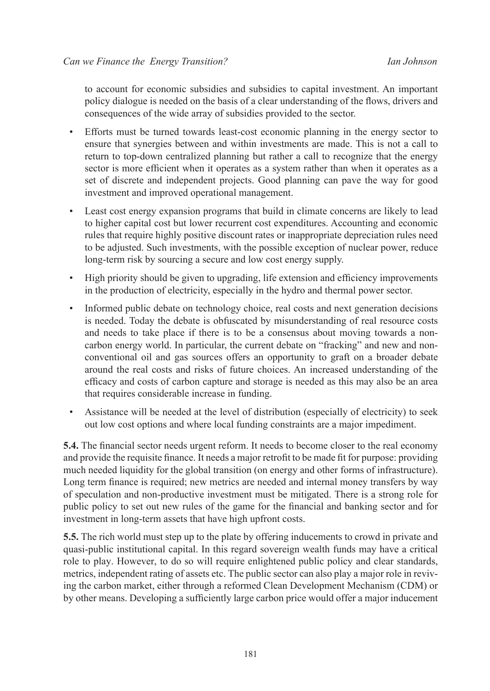to account for economic subsidies and subsidies to capital investment. An important policy dialogue is needed on the basis of a clear understanding of the flows, drivers and consequences of the wide array of subsidies provided to the sector.

- Efforts must be turned towards least-cost economic planning in the energy sector to ensure that synergies between and within investments are made. This is not a call to return to top-down centralized planning but rather a call to recognize that the energy sector is more efficient when it operates as a system rather than when it operates as a set of discrete and independent projects. Good planning can pave the way for good investment and improved operational management.
- Least cost energy expansion programs that build in climate concerns are likely to lead to higher capital cost but lower recurrent cost expenditures. Accounting and economic rules that require highly positive discount rates or inappropriate depreciation rules need to be adjusted. Such investments, with the possible exception of nuclear power, reduce long-term risk by sourcing a secure and low cost energy supply.
- High priority should be given to upgrading, life extension and efficiency improvements in the production of electricity, especially in the hydro and thermal power sector.
- Informed public debate on technology choice, real costs and next generation decisions is needed. Today the debate is obfuscated by misunderstanding of real resource costs and needs to take place if there is to be a consensus about moving towards a noncarbon energy world. In particular, the current debate on "fracking" and new and nonconventional oil and gas sources offers an opportunity to graft on a broader debate around the real costs and risks of future choices. An increased understanding of the efficacy and costs of carbon capture and storage is needed as this may also be an area that requires considerable increase in funding.
- Assistance will be needed at the level of distribution (especially of electricity) to seek out low cost options and where local funding constraints are a major impediment.

**5.4.** The financial sector needs urgent reform. It needs to become closer to the real economy and provide the requisite finance. It needs a major retrofit to be made fit for purpose: providing much needed liquidity for the global transition (on energy and other forms of infrastructure). Long term finance is required; new metrics are needed and internal money transfers by way of speculation and non-productive investment must be mitigated. There is a strong role for public policy to set out new rules of the game for the financial and banking sector and for investment in long-term assets that have high upfront costs.

**5.5.** The rich world must step up to the plate by offering inducements to crowd in private and quasi-public institutional capital. In this regard sovereign wealth funds may have a critical role to play. However, to do so will require enlightened public policy and clear standards, metrics, independent rating of assets etc. The public sector can also play a major role in reviving the carbon market, either through a reformed Clean Development Mechanism (CDM) or by other means. Developing a sufficiently large carbon price would offer a major inducement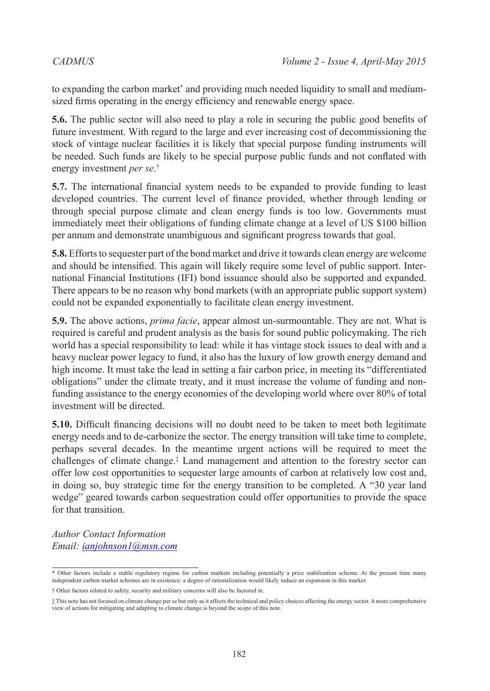to expanding the carbon market\* and providing much needed liquidity to small and mediumsized firms operating in the energy efficiency and renewable energy space.

**5.6.** The public sector will also need to play a role in securing the public good benefits of future investment. With regard to the large and ever increasing cost of decommissioning the stock of vintage nuclear facilities it is likely that special purpose funding instruments will be needed. Such funds are likely to be special purpose public funds and not conflated with energy investment *per se*. †

**5.7.** The international financial system needs to be expanded to provide funding to least developed countries. The current level of finance provided, whether through lending or through special purpose climate and clean energy funds is too low. Governments must immediately meet their obligations of funding climate change at a level of US \$100 billion per annum and demonstrate unambiguous and significant progress towards that goal.

**5.8.** Efforts to sequester part of the bond market and drive it towards clean energy are welcome and should be intensified. This again will likely require some level of public support. International Financial Institutions (IFI) bond issuance should also be supported and expanded. There appears to be no reason why bond markets (with an appropriate public support system) could not be expanded exponentially to facilitate clean energy investment.

**5.9.** The above actions, *prima facie*, appear almost un-surmountable. They are not. What is required is careful and prudent analysis as the basis for sound public policymaking. The rich world has a special responsibility to lead: while it has vintage stock issues to deal with and a heavy nuclear power legacy to fund, it also has the luxury of low growth energy demand and high income. It must take the lead in setting a fair carbon price, in meeting its "differentiated obligations" under the climate treaty, and it must increase the volume of funding and nonfunding assistance to the energy economies of the developing world where over 80% of total investment will be directed.

**5.10.** Difficult financing decisions will no doubt need to be taken to meet both legitimate energy needs and to de-carbonize the sector. The energy transition will take time to complete, perhaps several decades. In the meantime urgent actions will be required to meet the challenges of climate change.‡ Land management and attention to the forestry sector can offer low cost opportunities to sequester large amounts of carbon at relatively low cost and, in doing so, buy strategic time for the energy transition to be completed. A "30 year land wedge" geared towards carbon sequestration could offer opportunities to provide the space for that transition.

*Author Contact Information Email: [ianjohnson1@msn.com](mailto:ianjohnson1%40msn.com?subject=)*

<sup>\*</sup> Other factors include a stable regulatory regime for carbon markets including potentially a price stabilization scheme. At the present time many independent carbon market schemes are in existence: a degree of rationalization would likely induce an expansion in this market.

<sup>†</sup> Other factors related to safety, security and military concerns will also be factored in.

<sup>‡</sup> This note has not focused on climate change per se but only as it affects the technical and policy choices affecting the energy sector. A more comprehensive view of actions for mitigating and adapting to climate change is beyond the scope of this note.